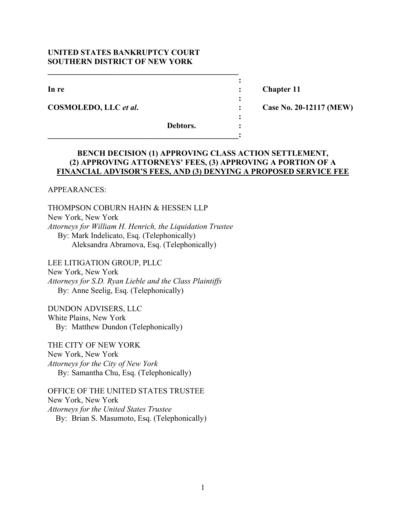# **UNITED STATES BANKRUPTCY COURT SOUTHERN DISTRICT OF NEW YORK**

 $\mathcal{L} = \{ \mathcal{L} \}$ *x*  $\mathbf{r}$   $\mathbf{r}$   $\mathbf{r}$   $\mathbf{r}$   $\mathbf{r}$   $\mathbf{r}$   $\mathbf{r}$   $\mathbf{r}$   $\mathbf{r}$   $\mathbf{r}$   $\mathbf{r}$   $\mathbf{r}$   $\mathbf{r}$   $\mathbf{r}$   $\mathbf{r}$   $\mathbf{r}$   $\mathbf{r}$   $\mathbf{r}$   $\mathbf{r}$   $\mathbf{r}$   $\mathbf{r}$   $\mathbf{r}$   $\mathbf{r}$   $\mathbf{r}$ 

*x*  $\mathbf{r}$  :  $\mathbf{r}$  is the set of  $\mathbf{r}$  is the set of  $\mathbf{r}$  is the set of  $\mathbf{r}$  is the set of  $\mathbf{r}$ 

**\_\_\_\_\_\_\_\_\_\_\_\_\_\_\_\_\_\_\_\_\_\_\_\_\_\_\_\_\_\_\_\_\_\_\_\_\_\_\_\_\_\_\_\_\_\_\_\_:** 

*x*  $\mathbf{r}$   $\mathbf{r}$   $\mathbf{r}$   $\mathbf{r}$   $\mathbf{r}$   $\mathbf{r}$   $\mathbf{r}$   $\mathbf{r}$   $\mathbf{r}$   $\mathbf{r}$   $\mathbf{r}$   $\mathbf{r}$   $\mathbf{r}$   $\mathbf{r}$   $\mathbf{r}$   $\mathbf{r}$   $\mathbf{r}$   $\mathbf{r}$   $\mathbf{r}$   $\mathbf{r}$   $\mathbf{r}$   $\mathbf{r}$   $\mathbf{r}$   $\mathbf{r}$ 

**COSMOLEDO, LLC** *et al***. : Case No. 20-12117 (MEW)** 

**In re** : **Chapter 11** 

 **Debtors. :** 

# **BENCH DECISION (1) APPROVING CLASS ACTION SETTLEMENT, (2) APPROVING ATTORNEYS' FEES, (3) APPROVING A PORTION OF A FINANCIAL ADVISOR'S FEES, AND (3) DENYING A PROPOSED SERVICE FEE**

APPEARANCES:

THOMPSON COBURN HAHN & HESSEN LLP New York, New York *Attorneys for William H. Henrich, the Liquidation Trustee*  By: Mark Indelicato, Esq. (Telephonically) Aleksandra Abramova, Esq. (Telephonically)

LEE LITIGATION GROUP, PLLC New York, New York *Attorneys for S.D. Ryan Lieble and the Class Plaintiffs*  By: Anne Seelig, Esq. (Telephonically)

DUNDON ADVISERS, LLC White Plains, New York By: Matthew Dundon (Telephonically)

THE CITY OF NEW YORK New York, New York *Attorneys for the City of New York*  By: Samantha Chu, Esq. (Telephonically)

OFFICE OF THE UNITED STATES TRUSTEE New York, New York *Attorneys for the United States Trustee*  By: Brian S. Masumoto, Esq. (Telephonically)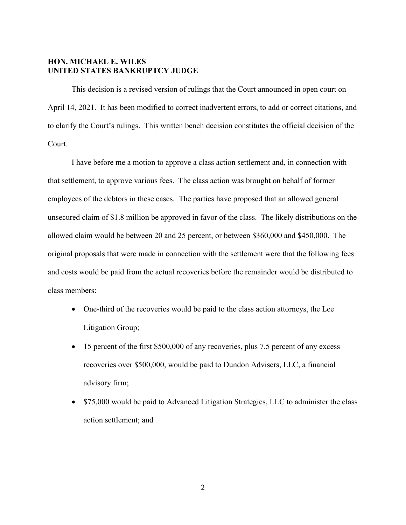# **HON. MICHAEL E. WILES UNITED STATES BANKRUPTCY JUDGE**

This decision is a revised version of rulings that the Court announced in open court on April 14, 2021. It has been modified to correct inadvertent errors, to add or correct citations, and to clarify the Court's rulings. This written bench decision constitutes the official decision of the Court.

I have before me a motion to approve a class action settlement and, in connection with that settlement, to approve various fees. The class action was brought on behalf of former employees of the debtors in these cases. The parties have proposed that an allowed general unsecured claim of \$1.8 million be approved in favor of the class. The likely distributions on the allowed claim would be between 20 and 25 percent, or between \$360,000 and \$450,000. The original proposals that were made in connection with the settlement were that the following fees and costs would be paid from the actual recoveries before the remainder would be distributed to class members:

- One-third of the recoveries would be paid to the class action attorneys, the Lee Litigation Group;
- 15 percent of the first \$500,000 of any recoveries, plus 7.5 percent of any excess recoveries over \$500,000, would be paid to Dundon Advisers, LLC, a financial advisory firm;
- \$75,000 would be paid to Advanced Litigation Strategies, LLC to administer the class action settlement; and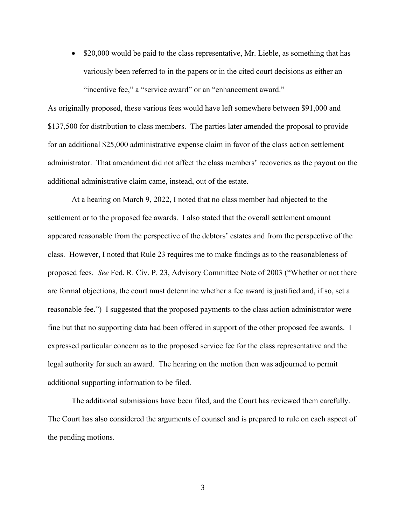• \$20,000 would be paid to the class representative, Mr. Lieble, as something that has variously been referred to in the papers or in the cited court decisions as either an "incentive fee," a "service award" or an "enhancement award."

As originally proposed, these various fees would have left somewhere between \$91,000 and \$137,500 for distribution to class members. The parties later amended the proposal to provide for an additional \$25,000 administrative expense claim in favor of the class action settlement administrator. That amendment did not affect the class members' recoveries as the payout on the additional administrative claim came, instead, out of the estate.

At a hearing on March 9, 2022, I noted that no class member had objected to the settlement or to the proposed fee awards. I also stated that the overall settlement amount appeared reasonable from the perspective of the debtors' estates and from the perspective of the class. However, I noted that Rule 23 requires me to make findings as to the reasonableness of proposed fees. *See* Fed. R. Civ. P. 23, Advisory Committee Note of 2003 ("Whether or not there are formal objections, the court must determine whether a fee award is justified and, if so, set a reasonable fee.") I suggested that the proposed payments to the class action administrator were fine but that no supporting data had been offered in support of the other proposed fee awards. I expressed particular concern as to the proposed service fee for the class representative and the legal authority for such an award. The hearing on the motion then was adjourned to permit additional supporting information to be filed.

The additional submissions have been filed, and the Court has reviewed them carefully. The Court has also considered the arguments of counsel and is prepared to rule on each aspect of the pending motions.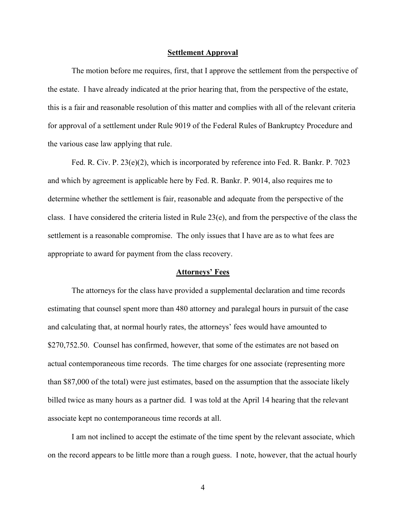#### **Settlement Approval**

The motion before me requires, first, that I approve the settlement from the perspective of the estate. I have already indicated at the prior hearing that, from the perspective of the estate, this is a fair and reasonable resolution of this matter and complies with all of the relevant criteria for approval of a settlement under Rule 9019 of the Federal Rules of Bankruptcy Procedure and the various case law applying that rule.

Fed. R. Civ. P. 23(e)(2), which is incorporated by reference into Fed. R. Bankr. P. 7023 and which by agreement is applicable here by Fed. R. Bankr. P. 9014, also requires me to determine whether the settlement is fair, reasonable and adequate from the perspective of the class. I have considered the criteria listed in Rule 23(e), and from the perspective of the class the settlement is a reasonable compromise. The only issues that I have are as to what fees are appropriate to award for payment from the class recovery.

## **Attorneys' Fees**

The attorneys for the class have provided a supplemental declaration and time records estimating that counsel spent more than 480 attorney and paralegal hours in pursuit of the case and calculating that, at normal hourly rates, the attorneys' fees would have amounted to \$270,752.50. Counsel has confirmed, however, that some of the estimates are not based on actual contemporaneous time records. The time charges for one associate (representing more than \$87,000 of the total) were just estimates, based on the assumption that the associate likely billed twice as many hours as a partner did. I was told at the April 14 hearing that the relevant associate kept no contemporaneous time records at all.

I am not inclined to accept the estimate of the time spent by the relevant associate, which on the record appears to be little more than a rough guess. I note, however, that the actual hourly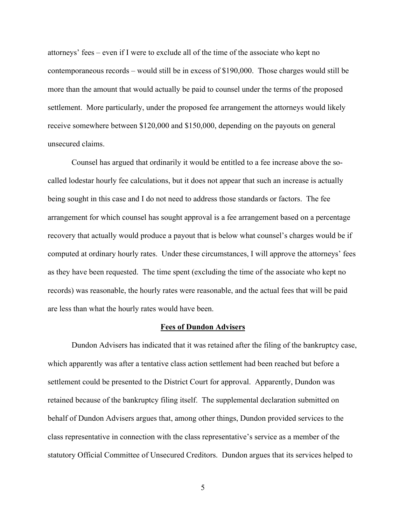attorneys' fees – even if I were to exclude all of the time of the associate who kept no contemporaneous records – would still be in excess of \$190,000. Those charges would still be more than the amount that would actually be paid to counsel under the terms of the proposed settlement. More particularly, under the proposed fee arrangement the attorneys would likely receive somewhere between \$120,000 and \$150,000, depending on the payouts on general unsecured claims.

Counsel has argued that ordinarily it would be entitled to a fee increase above the socalled lodestar hourly fee calculations, but it does not appear that such an increase is actually being sought in this case and I do not need to address those standards or factors. The fee arrangement for which counsel has sought approval is a fee arrangement based on a percentage recovery that actually would produce a payout that is below what counsel's charges would be if computed at ordinary hourly rates. Under these circumstances, I will approve the attorneys' fees as they have been requested. The time spent (excluding the time of the associate who kept no records) was reasonable, the hourly rates were reasonable, and the actual fees that will be paid are less than what the hourly rates would have been.

## **Fees of Dundon Advisers**

Dundon Advisers has indicated that it was retained after the filing of the bankruptcy case, which apparently was after a tentative class action settlement had been reached but before a settlement could be presented to the District Court for approval. Apparently, Dundon was retained because of the bankruptcy filing itself. The supplemental declaration submitted on behalf of Dundon Advisers argues that, among other things, Dundon provided services to the class representative in connection with the class representative's service as a member of the statutory Official Committee of Unsecured Creditors. Dundon argues that its services helped to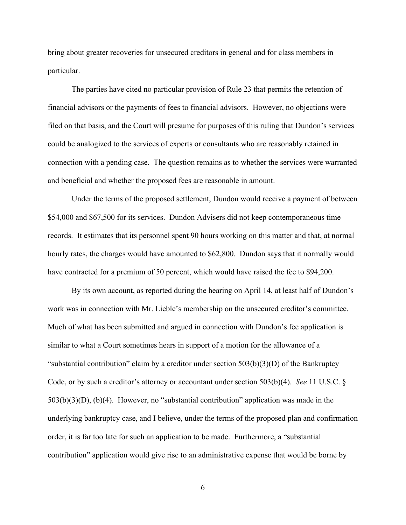bring about greater recoveries for unsecured creditors in general and for class members in particular.

The parties have cited no particular provision of Rule 23 that permits the retention of financial advisors or the payments of fees to financial advisors. However, no objections were filed on that basis, and the Court will presume for purposes of this ruling that Dundon's services could be analogized to the services of experts or consultants who are reasonably retained in connection with a pending case. The question remains as to whether the services were warranted and beneficial and whether the proposed fees are reasonable in amount.

Under the terms of the proposed settlement, Dundon would receive a payment of between \$54,000 and \$67,500 for its services. Dundon Advisers did not keep contemporaneous time records. It estimates that its personnel spent 90 hours working on this matter and that, at normal hourly rates, the charges would have amounted to \$62,800. Dundon says that it normally would have contracted for a premium of 50 percent, which would have raised the fee to \$94,200.

By its own account, as reported during the hearing on April 14, at least half of Dundon's work was in connection with Mr. Lieble's membership on the unsecured creditor's committee. Much of what has been submitted and argued in connection with Dundon's fee application is similar to what a Court sometimes hears in support of a motion for the allowance of a "substantial contribution" claim by a creditor under section  $503(b)(3)(D)$  of the Bankruptcy Code, or by such a creditor's attorney or accountant under section 503(b)(4). *See* 11 U.S.C. § 503(b)(3)(D), (b)(4). However, no "substantial contribution" application was made in the underlying bankruptcy case, and I believe, under the terms of the proposed plan and confirmation order, it is far too late for such an application to be made. Furthermore, a "substantial contribution" application would give rise to an administrative expense that would be borne by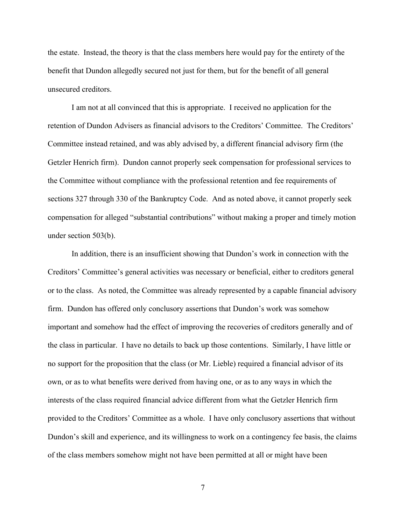the estate. Instead, the theory is that the class members here would pay for the entirety of the benefit that Dundon allegedly secured not just for them, but for the benefit of all general unsecured creditors.

I am not at all convinced that this is appropriate. I received no application for the retention of Dundon Advisers as financial advisors to the Creditors' Committee. The Creditors' Committee instead retained, and was ably advised by, a different financial advisory firm (the Getzler Henrich firm). Dundon cannot properly seek compensation for professional services to the Committee without compliance with the professional retention and fee requirements of sections 327 through 330 of the Bankruptcy Code. And as noted above, it cannot properly seek compensation for alleged "substantial contributions" without making a proper and timely motion under section 503(b).

In addition, there is an insufficient showing that Dundon's work in connection with the Creditors' Committee's general activities was necessary or beneficial, either to creditors general or to the class. As noted, the Committee was already represented by a capable financial advisory firm. Dundon has offered only conclusory assertions that Dundon's work was somehow important and somehow had the effect of improving the recoveries of creditors generally and of the class in particular. I have no details to back up those contentions. Similarly, I have little or no support for the proposition that the class (or Mr. Lieble) required a financial advisor of its own, or as to what benefits were derived from having one, or as to any ways in which the interests of the class required financial advice different from what the Getzler Henrich firm provided to the Creditors' Committee as a whole. I have only conclusory assertions that without Dundon's skill and experience, and its willingness to work on a contingency fee basis, the claims of the class members somehow might not have been permitted at all or might have been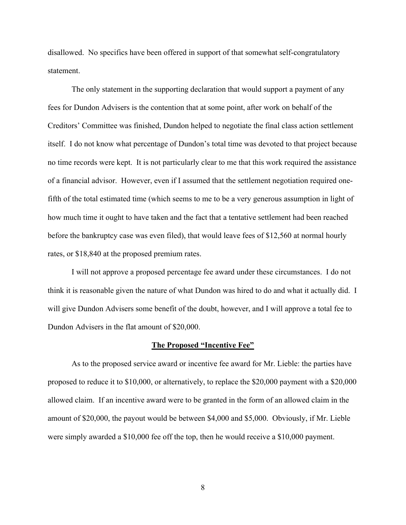disallowed. No specifics have been offered in support of that somewhat self-congratulatory statement.

The only statement in the supporting declaration that would support a payment of any fees for Dundon Advisers is the contention that at some point, after work on behalf of the Creditors' Committee was finished, Dundon helped to negotiate the final class action settlement itself. I do not know what percentage of Dundon's total time was devoted to that project because no time records were kept. It is not particularly clear to me that this work required the assistance of a financial advisor. However, even if I assumed that the settlement negotiation required onefifth of the total estimated time (which seems to me to be a very generous assumption in light of how much time it ought to have taken and the fact that a tentative settlement had been reached before the bankruptcy case was even filed), that would leave fees of \$12,560 at normal hourly rates, or \$18,840 at the proposed premium rates.

I will not approve a proposed percentage fee award under these circumstances. I do not think it is reasonable given the nature of what Dundon was hired to do and what it actually did. I will give Dundon Advisers some benefit of the doubt, however, and I will approve a total fee to Dundon Advisers in the flat amount of \$20,000.

## **The Proposed "Incentive Fee"**

As to the proposed service award or incentive fee award for Mr. Lieble: the parties have proposed to reduce it to \$10,000, or alternatively, to replace the \$20,000 payment with a \$20,000 allowed claim. If an incentive award were to be granted in the form of an allowed claim in the amount of \$20,000, the payout would be between \$4,000 and \$5,000. Obviously, if Mr. Lieble were simply awarded a \$10,000 fee off the top, then he would receive a \$10,000 payment.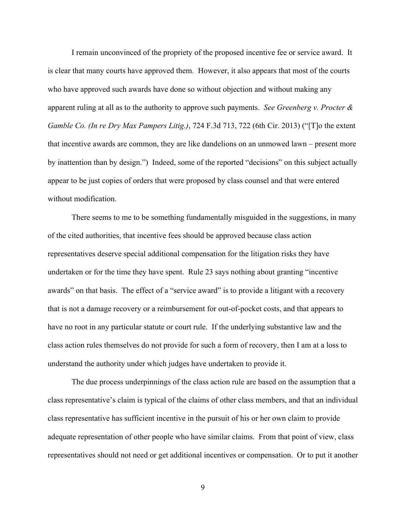I remain unconvinced of the propriety of the proposed incentive fee or service award. It is clear that many courts have approved them. However, it also appears that most of the courts who have approved such awards have done so without objection and without making any apparent ruling at all as to the authority to approve such payments. *See Greenberg v. Procter & Gamble Co. (In re Dry Max Pampers Litig.)*, 724 F.3d 713, 722 (6th Cir. 2013) ("[T]o the extent that incentive awards are common, they are like dandelions on an unmowed lawn – present more by inattention than by design.") Indeed, some of the reported "decisions" on this subject actually appear to be just copies of orders that were proposed by class counsel and that were entered without modification.

There seems to me to be something fundamentally misguided in the suggestions, in many of the cited authorities, that incentive fees should be approved because class action representatives deserve special additional compensation for the litigation risks they have undertaken or for the time they have spent. Rule 23 says nothing about granting "incentive awards" on that basis. The effect of a "service award" is to provide a litigant with a recovery that is not a damage recovery or a reimbursement for out-of-pocket costs, and that appears to have no root in any particular statute or court rule. If the underlying substantive law and the class action rules themselves do not provide for such a form of recovery, then I am at a loss to understand the authority under which judges have undertaken to provide it.

The due process underpinnings of the class action rule are based on the assumption that a class representative's claim is typical of the claims of other class members, and that an individual class representative has sufficient incentive in the pursuit of his or her own claim to provide adequate representation of other people who have similar claims. From that point of view, class representatives should not need or get additional incentives or compensation. Or to put it another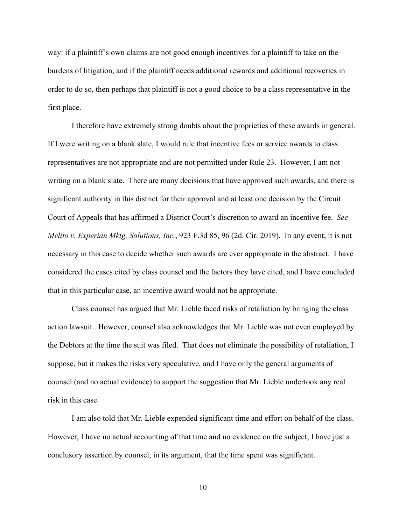way: if a plaintiff's own claims are not good enough incentives for a plaintiff to take on the burdens of litigation, and if the plaintiff needs additional rewards and additional recoveries in order to do so, then perhaps that plaintiff is not a good choice to be a class representative in the first place.

I therefore have extremely strong doubts about the proprieties of these awards in general. If I were writing on a blank slate, I would rule that incentive fees or service awards to class representatives are not appropriate and are not permitted under Rule 23. However, I am not writing on a blank slate. There are many decisions that have approved such awards, and there is significant authority in this district for their approval and at least one decision by the Circuit Court of Appeals that has affirmed a District Court's discretion to award an incentive fee. *See Melito v. Experian Mktg. Solutions, Inc.*, 923 F.3d 85, 96 (2d. Cir. 2019). In any event, it is not necessary in this case to decide whether such awards are ever appropriate in the abstract. I have considered the cases cited by class counsel and the factors they have cited, and I have concluded that in this particular case, an incentive award would not be appropriate.

Class counsel has argued that Mr. Lieble faced risks of retaliation by bringing the class action lawsuit. However, counsel also acknowledges that Mr. Lieble was not even employed by the Debtors at the time the suit was filed. That does not eliminate the possibility of retaliation, I suppose, but it makes the risks very speculative, and I have only the general arguments of counsel (and no actual evidence) to support the suggestion that Mr. Lieble undertook any real risk in this case.

I am also told that Mr. Lieble expended significant time and effort on behalf of the class. However, I have no actual accounting of that time and no evidence on the subject; I have just a conclusory assertion by counsel, in its argument, that the time spent was significant.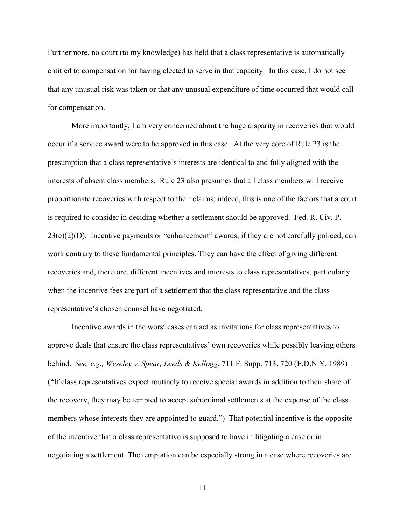Furthermore, no court (to my knowledge) has held that a class representative is automatically entitled to compensation for having elected to serve in that capacity. In this case, I do not see that any unusual risk was taken or that any unusual expenditure of time occurred that would call for compensation.

More importantly, I am very concerned about the huge disparity in recoveries that would occur if a service award were to be approved in this case. At the very core of Rule 23 is the presumption that a class representative's interests are identical to and fully aligned with the interests of absent class members. Rule 23 also presumes that all class members will receive proportionate recoveries with respect to their claims; indeed, this is one of the factors that a court is required to consider in deciding whether a settlement should be approved. Fed. R. Civ. P.  $23(e)(2)(D)$ . Incentive payments or "enhancement" awards, if they are not carefully policed, can work contrary to these fundamental principles. They can have the effect of giving different recoveries and, therefore, different incentives and interests to class representatives, particularly when the incentive fees are part of a settlement that the class representative and the class representative's chosen counsel have negotiated.

Incentive awards in the worst cases can act as invitations for class representatives to approve deals that ensure the class representatives' own recoveries while possibly leaving others behind. *See, e.g., Weseley v. Spear, Leeds & Kellogg*, 711 F. Supp. 713, 720 (E.D.N.Y. 1989) ("If class representatives expect routinely to receive special awards in addition to their share of the recovery, they may be tempted to accept suboptimal settlements at the expense of the class members whose interests they are appointed to guard.")That potential incentive is the opposite of the incentive that a class representative is supposed to have in litigating a case or in negotiating a settlement. The temptation can be especially strong in a case where recoveries are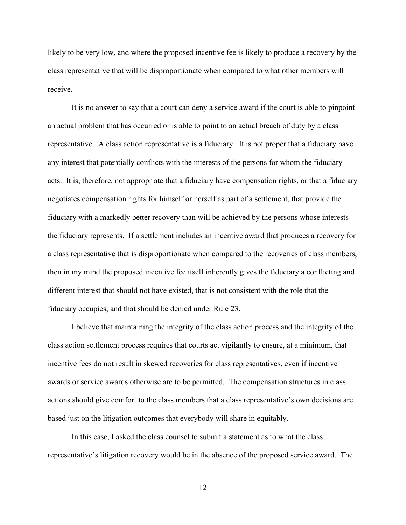likely to be very low, and where the proposed incentive fee is likely to produce a recovery by the class representative that will be disproportionate when compared to what other members will receive.

It is no answer to say that a court can deny a service award if the court is able to pinpoint an actual problem that has occurred or is able to point to an actual breach of duty by a class representative. A class action representative is a fiduciary. It is not proper that a fiduciary have any interest that potentially conflicts with the interests of the persons for whom the fiduciary acts. It is, therefore, not appropriate that a fiduciary have compensation rights, or that a fiduciary negotiates compensation rights for himself or herself as part of a settlement, that provide the fiduciary with a markedly better recovery than will be achieved by the persons whose interests the fiduciary represents. If a settlement includes an incentive award that produces a recovery for a class representative that is disproportionate when compared to the recoveries of class members, then in my mind the proposed incentive fee itself inherently gives the fiduciary a conflicting and different interest that should not have existed, that is not consistent with the role that the fiduciary occupies, and that should be denied under Rule 23.

I believe that maintaining the integrity of the class action process and the integrity of the class action settlement process requires that courts act vigilantly to ensure, at a minimum, that incentive fees do not result in skewed recoveries for class representatives, even if incentive awards or service awards otherwise are to be permitted. The compensation structures in class actions should give comfort to the class members that a class representative's own decisions are based just on the litigation outcomes that everybody will share in equitably.

In this case, I asked the class counsel to submit a statement as to what the class representative's litigation recovery would be in the absence of the proposed service award. The